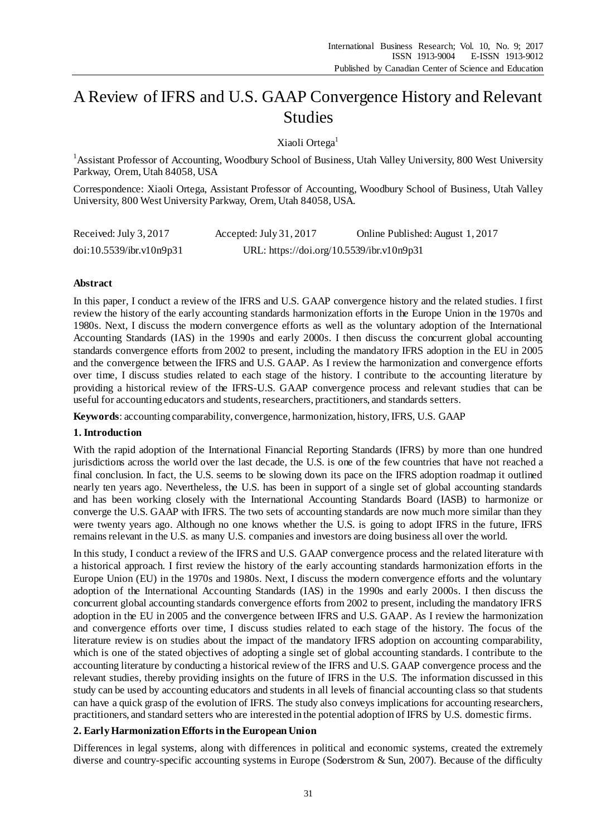# A Review of IFRS and U.S. GAAP Convergence History and Relevant Studies

Xiaoli Ortega<sup>1</sup>

<sup>1</sup> Assistant Professor of Accounting, Woodbury School of Business, Utah Valley University, 800 West University Parkway, Orem, Utah 84058, USA

Correspondence: Xiaoli Ortega, Assistant Professor of Accounting, Woodbury School of Business, Utah Valley University, 800 West University Parkway, Orem, Utah 84058, USA.

| Received: July 3, 2017   | Accepted: July $31, 2017$                 | Online Published: August 1, 2017 |
|--------------------------|-------------------------------------------|----------------------------------|
| doi:10.5539/ibr.v10n9p31 | URL: https://doi.org/10.5539/ibr.v10n9p31 |                                  |

# **Abstract**

In this paper, I conduct a review of the IFRS and U.S. GAAP convergence history and the related studies. I first review the history of the early accounting standards harmonization efforts in the Europe Union in the 1970s and 1980s. Next, I discuss the modern convergence efforts as well as the voluntary adoption of the International Accounting Standards (IAS) in the 1990s and early 2000s. I then discuss the concurrent global accounting standards convergence efforts from 2002 to present, including the mandatory IFRS adoption in the EU in 2005 and the convergence between the IFRS and U.S. GAAP. As I review the harmonization and convergence efforts over time, I discuss studies related to each stage of the history. I contribute to the accounting literature by providing a historical review of the IFRS-U.S. GAAP convergence process and relevant studies that can be useful for accounting educators and students, researchers, practitioners, and standards setters.

**Keywords**: accounting comparability, convergence, harmonization, history, IFRS, U.S. GAAP

### **1. Introduction**

With the rapid adoption of the International Financial Reporting Standards (IFRS) by more than one hundred jurisdictions across the world over the last decade, the U.S. is one of the few countries that have not reached a final conclusion. In fact, the U.S. seems to be slowing down its pace on the IFRS adoption roadmap it outlined nearly ten years ago. Nevertheless, the U.S. has been in support of a single set of global accounting standards and has been working closely with the International Accounting Standards Board (IASB) to harmonize or converge the U.S. GAAP with IFRS. The two sets of accounting standards are now much more similar than they were twenty years ago. Although no one knows whether the U.S. is going to adopt IFRS in the future, IFRS remains relevant in the U.S. as many U.S. companies and investors are doing business all over the world.

In this study, I conduct a review of the IFRS and U.S. GAAP convergence process and the related literature with a historical approach. I first review the history of the early accounting standards harmonization efforts in the Europe Union (EU) in the 1970s and 1980s. Next, I discuss the modern convergence efforts and the voluntary adoption of the International Accounting Standards (IAS) in the 1990s and early 2000s. I then discuss the concurrent global accounting standards convergence efforts from 2002 to present, including the mandatory IFRS adoption in the EU in 2005 and the convergence between IFRS and U.S. GAAP. As I review the harmonization and convergence efforts over time, I discuss studies related to each stage of the history. The focus of the literature review is on studies about the impact of the mandatory IFRS adoption on accounting comparability, which is one of the stated objectives of adopting a single set of global accounting standards. I contribute to the accounting literature by conducting a historical review of the IFRS and U.S. GAAP convergence process and the relevant studies, thereby providing insights on the future of IFRS in the U.S. The information discussed in this study can be used by accounting educators and students in all levels of financial accounting class so that students can have a quick grasp of the evolution of IFRS. The study also conveys implications for accounting researchers, practitioners, and standard setters who are interested in the potential adoption of IFRS by U.S. domestic firms.

# **2. Early Harmonization Efforts in the European Union**

Differences in legal systems, along with differences in political and economic systems, created the extremely diverse and country-specific accounting systems in Europe (Soderstrom & Sun, 2007). Because of the difficulty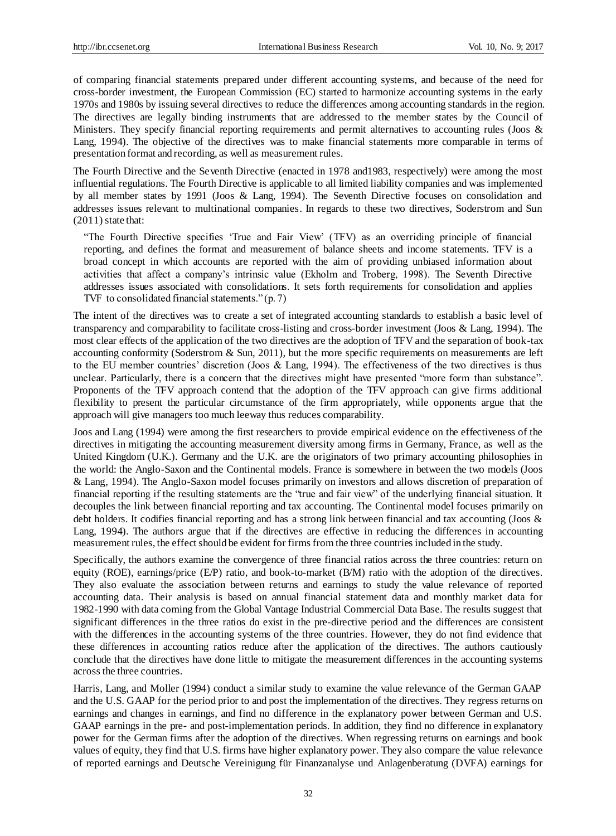of comparing financial statements prepared under different accounting systems, and because of the need for cross-border investment, the European Commission (EC) started to harmonize accounting systems in the early 1970s and 1980s by issuing several directives to reduce the differences among accounting standards in the region. The directives are legally binding instruments that are addressed to the member states by the Council of Ministers. They specify financial reporting requirements and permit alternatives to accounting rules (Joos & Lang, 1994). The objective of the directives was to make financial statements more comparable in terms of presentation format and recording, as well as measurement rules.

The Fourth Directive and the Seventh Directive (enacted in 1978 and1983, respectively) were among the most influential regulations. The Fourth Directive is applicable to all limited liability companies and was implemented by all member states by 1991 (Joos & Lang, 1994). The Seventh Directive focuses on consolidation and addresses issues relevant to multinational companies. In regards to these two directives, Soderstrom and Sun  $(2011)$  state that:

"The Fourth Directive specifies 'True and Fair View' (TFV) as an overriding principle of financial reporting, and defines the format and measurement of balance sheets and income statements. TFV is a broad concept in which accounts are reported with the aim of providing unbiased information about activities that affect a company's intrinsic value (Ekholm and Troberg, 1998). The Seventh Directive addresses issues associated with consolidations. It sets forth requirements for consolidation and applies TVF to consolidated financial statements." (p. 7)

The intent of the directives was to create a set of integrated accounting standards to establish a basic level of transparency and comparability to facilitate cross-listing and cross-border investment (Joos & Lang, 1994). The most clear effects of the application of the two directives are the adoption of TFV and the separation of book-tax accounting conformity (Soderstrom  $\&$  Sun, 2011), but the more specific requirements on measurements are left to the EU member countries' discretion (Joos & Lang, 1994). The effectiveness of the two directives is thus unclear. Particularly, there is a concern that the directives might have presented "more form than substance". Proponents of the TFV approach contend that the adoption of the TFV approach can give firms additional flexibility to present the particular circumstance of the firm appropriately, while opponents argue that the approach will give managers too much leeway thus reduces comparability.

Joos and Lang (1994) were among the first researchers to provide empirical evidence on the effectiveness of the directives in mitigating the accounting measurement diversity among firms in Germany, France, as well as the United Kingdom (U.K.). Germany and the U.K. are the originators of two primary accounting philosophies in the world: the Anglo-Saxon and the Continental models. France is somewhere in between the two models (Joos & Lang, 1994). The Anglo-Saxon model focuses primarily on investors and allows discretion of preparation of financial reporting if the resulting statements are the "true and fair view" of the underlying financial situation. It decouples the link between financial reporting and tax accounting. The Continental model focuses primarily on debt holders. It codifies financial reporting and has a strong link between financial and tax accounting (Joos & Lang, 1994). The authors argue that if the directives are effective in reducing the differences in accounting measurement rules, the effect should be evident for firms from the three countries included in the study.

Specifically, the authors examine the convergence of three financial ratios across the three countries: return on equity (ROE), earnings/price (E/P) ratio, and book-to-market (B/M) ratio with the adoption of the directives. They also evaluate the association between returns and earnings to study the value relevance of reported accounting data. Their analysis is based on annual financial statement data and monthly market data for 1982-1990 with data coming from the Global Vantage Industrial Commercial Data Base. The results suggest that significant differences in the three ratios do exist in the pre-directive period and the differences are consistent with the differences in the accounting systems of the three countries. However, they do not find evidence that these differences in accounting ratios reduce after the application of the directives. The authors cautiously conclude that the directives have done little to mitigate the measurement differences in the accounting systems across the three countries.

Harris, Lang, and Moller (1994) conduct a similar study to examine the value relevance of the German GAAP and the U.S. GAAP for the period prior to and post the implementation of the directives. They regress returns on earnings and changes in earnings, and find no difference in the explanatory power between German and U.S. GAAP earnings in the pre- and post-implementation periods. In addition, they find no difference in explanatory power for the German firms after the adoption of the directives. When regressing returns on earnings and book values of equity, they find that U.S. firms have higher explanatory power. They also compare the value relevance of reported earnings and Deutsche Vereinigung für Finanzanalyse und Anlagenberatung (DVFA) earnings for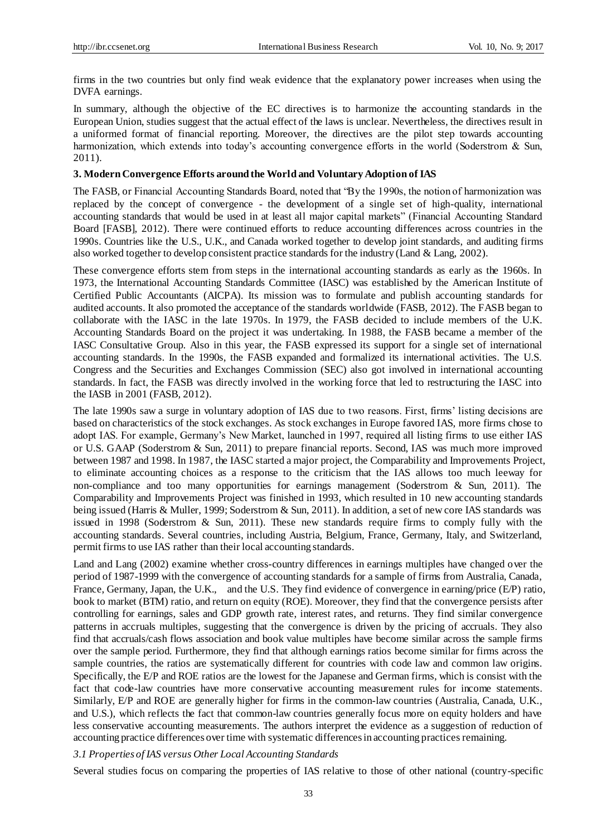firms in the two countries but only find weak evidence that the explanatory power increases when using the DVFA earnings.

In summary, although the objective of the EC directives is to harmonize the accounting standards in the European Union, studies suggest that the actual effect of the laws is unclear. Nevertheless, the directives result in a uniformed format of financial reporting. Moreover, the directives are the pilot step towards accounting harmonization, which extends into today's accounting convergence efforts in the world (Soderstrom & Sun, 2011).

#### **3. Modern Convergence Efforts around the World and Voluntary Adoption of IAS**

The FASB, or Financial Accounting Standards Board, noted that "By the 1990s, the notion of harmonization was replaced by the concept of convergence - the development of a single set of high-quality, international accounting standards that would be used in at least all major capital markets" (Financial Accounting Standard Board [FASB], 2012). There were continued efforts to reduce accounting differences across countries in the 1990s. Countries like the U.S., U.K., and Canada worked together to develop joint standards, and auditing firms also worked together to develop consistent practice standards for the industry (Land & Lang, 2002).

These convergence efforts stem from steps in the international accounting standards as early as the 1960s. In 1973, the International Accounting Standards Committee (IASC) was established by the American Institute of Certified Public Accountants (AICPA). Its mission was to formulate and publish accounting standards for audited accounts. It also promoted the acceptance of the standards worldwide (FASB, 2012). The FASB began to collaborate with the IASC in the late 1970s. In 1979, the FASB decided to include members of the U.K. Accounting Standards Board on the project it was undertaking. In 1988, the FASB became a member of the IASC Consultative Group. Also in this year, the FASB expressed its support for a single set of international accounting standards. In the 1990s, the FASB expanded and formalized its international activities. The U.S. Congress and the Securities and Exchanges Commission (SEC) also got involved in international accounting standards. In fact, the FASB was directly involved in the working force that led to restructuring the IASC into the IASB in 2001 (FASB, 2012).

The late 1990s saw a surge in voluntary adoption of IAS due to two reasons. First, firms' listing decisions are based on characteristics of the stock exchanges. As stock exchanges in Europe favored IAS, more firms chose to adopt IAS. For example, Germany's New Market, launched in 1997, required all listing firms to use either IAS or U.S. GAAP (Soderstrom & Sun, 2011) to prepare financial reports. Second, IAS was much more improved between 1987 and 1998. In 1987, the IASC started a major project, the Comparability and Improvements Project, to eliminate accounting choices as a response to the criticism that the IAS allows too much leeway for non-compliance and too many opportunities for earnings management (Soderstrom  $\&$  Sun, 2011). The Comparability and Improvements Project was finished in 1993, which resulted in 10 new accounting standards being issued (Harris & Muller, 1999; Soderstrom & Sun, 2011). In addition, a set of new core IAS standards was issued in 1998 (Soderstrom & Sun, 2011). These new standards require firms to comply fully with the accounting standards. Several countries, including Austria, Belgium, France, Germany, Italy, and Switzerland, permit firms to use IAS rather than their local accounting standards.

Land and Lang (2002) examine whether cross-country differences in earnings multiples have changed over the period of 1987-1999 with the convergence of accounting standards for a sample of firms from Australia, Canada, France, Germany, Japan, the U.K., and the U.S. They find evidence of convergence in earning/price (E/P) ratio, book to market (BTM) ratio, and return on equity (ROE). Moreover, they find that the convergence persists after controlling for earnings, sales and GDP growth rate, interest rates, and returns. They find similar convergence patterns in accruals multiples, suggesting that the convergence is driven by the pricing of accruals. They also find that accruals/cash flows association and book value multiples have become similar across the sample firms over the sample period. Furthermore, they find that although earnings ratios become similar for firms across the sample countries, the ratios are systematically different for countries with code law and common law origins. Specifically, the E/P and ROE ratios are the lowest for the Japanese and German firms, which is consist with the fact that code-law countries have more conservative accounting measurement rules for income statements. Similarly, E/P and ROE are generally higher for firms in the common-law countries (Australia, Canada, U.K., and U.S.), which reflects the fact that common-law countries generally focus more on equity holders and have less conservative accounting measurements. The authors interpret the evidence as a suggestion of reduction of accounting practice differences over time with systematic differences in accounting practices remaining.

#### *3.1 Properties of IAS versus Other Local Accounting Standards*

Several studies focus on comparing the properties of IAS relative to those of other national (country-specific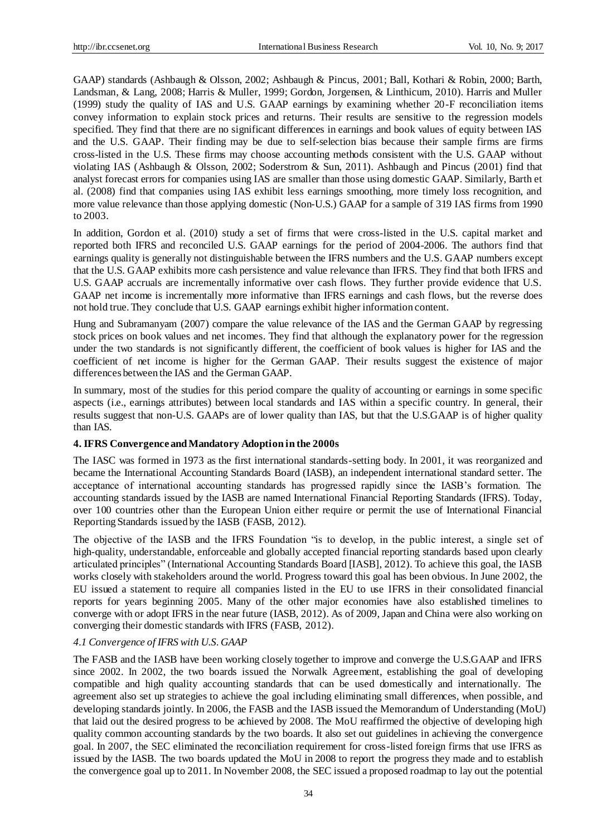GAAP) standards (Ashbaugh & Olsson, 2002; Ashbaugh & Pincus, 2001; Ball, Kothari & Robin, 2000; Barth, Landsman, & Lang, 2008; Harris & Muller, 1999; Gordon, Jorgensen, & Linthicum, 2010). Harris and Muller (1999) study the quality of IAS and U.S. GAAP earnings by examining whether 20-F reconciliation items convey information to explain stock prices and returns. Their results are sensitive to the regression models specified. They find that there are no significant differences in earnings and book values of equity between IAS and the U.S. GAAP. Their finding may be due to self-selection bias because their sample firms are firms cross-listed in the U.S. These firms may choose accounting methods consistent with the U.S. GAAP without violating IAS (Ashbaugh & Olsson, 2002; Soderstrom & Sun, 2011). Ashbaugh and Pincus (2001) find that analyst forecast errors for companies using IAS are smaller than those using domestic GAAP. Similarly, Barth et al. (2008) find that companies using IAS exhibit less earnings smoothing, more timely loss recognition, and more value relevance than those applying domestic (Non-U.S.) GAAP for a sample of 319 IAS firms from 1990 to 2003.

In addition, Gordon et al. (2010) study a set of firms that were cross-listed in the U.S. capital market and reported both IFRS and reconciled U.S. GAAP earnings for the period of 2004-2006. The authors find that earnings quality is generally not distinguishable between the IFRS numbers and the U.S. GAAP numbers except that the U.S. GAAP exhibits more cash persistence and value relevance than IFRS. They find that both IFRS and U.S. GAAP accruals are incrementally informative over cash flows. They further provide evidence that U.S. GAAP net income is incrementally more informative than IFRS earnings and cash flows, but the reverse does not hold true. They conclude that U.S. GAAP earnings exhibit higher information content.

Hung and Subramanyam (2007) compare the value relevance of the IAS and the German GAAP by regressing stock prices on book values and net incomes. They find that although the explanatory power for the regression under the two standards is not significantly different, the coefficient of book values is higher for IAS and the coefficient of net income is higher for the German GAAP. Their results suggest the existence of major differences between the IAS and the German GAAP.

In summary, most of the studies for this period compare the quality of accounting or earnings in some specific aspects (i.e., earnings attributes) between local standards and IAS within a specific country. In general, their results suggest that non-U.S. GAAPs are of lower quality than IAS, but that the U.S.GAAP is of higher quality than IAS.

#### **4. IFRS Convergence and Mandatory Adoption in the 2000s**

The IASC was formed in 1973 as the first international standards-setting body. In 2001, it was reorganized and became the International Accounting Standards Board (IASB), an independent international standard setter. The acceptance of international accounting standards has progressed rapidly since the IASB's formation. The accounting standards issued by the IASB are named International Financial Reporting Standards (IFRS). Today, over 100 countries other than the European Union either require or permit the use of International Financial Reporting Standards issued by the IASB (FASB, 2012).

The objective of the IASB and the IFRS Foundation "is to develop, in the public interest, a single set of high-quality, understandable, enforceable and globally accepted financial reporting standards based upon clearly articulated principles" (International Accounting Standards Board [IASB], 2012). To achieve this goal, the IASB works closely with stakeholders around the world. Progress toward this goal has been obvious. In June 2002, the EU issued a statement to require all companies listed in the EU to use IFRS in their consolidated financial reports for years beginning 2005. Many of the other major economies have also established timelines to converge with or adopt IFRS in the near future (IASB, 2012). As of 2009, Japan and China were also working on converging their domestic standards with IFRS (FASB, 2012).

#### *4.1 Convergence of IFRS with U.S. GAAP*

The FASB and the IASB have been working closely together to improve and converge the U.S.GAAP and IFRS since 2002. In 2002, the two boards issued the Norwalk Agreement, establishing the goal of developing compatible and high quality accounting standards that can be used domestically and internationally. The agreement also set up strategies to achieve the goal including eliminating small differences, when possible, and developing standards jointly. In 2006, the FASB and the IASB issued the Memorandum of Understanding (MoU) that laid out the desired progress to be achieved by 2008. The MoU reaffirmed the objective of developing high quality common accounting standards by the two boards. It also set out guidelines in achieving the convergence goal. In 2007, the SEC eliminated the reconciliation requirement for cross-listed foreign firms that use IFRS as issued by the IASB. The two boards updated the MoU in 2008 to report the progress they made and to establish the convergence goal up to 2011. In November 2008, the SEC issued a proposed roadmap to lay out the potential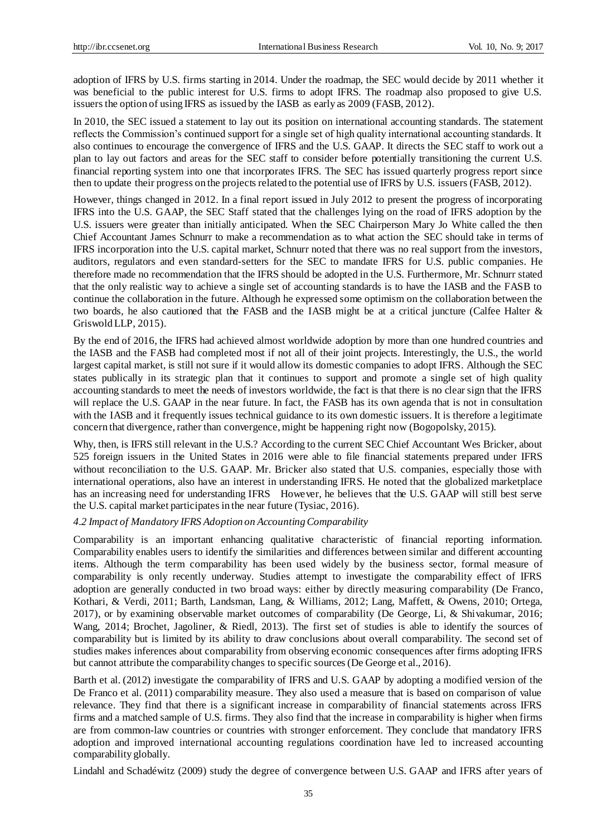adoption of IFRS by U.S. firms starting in 2014. Under the roadmap, the SEC would decide by 2011 whether it was beneficial to the public interest for U.S. firms to adopt IFRS. The roadmap also proposed to give U.S. issuers the option of using IFRS as issued by the IASB as early as 2009 (FASB, 2012).

In 2010, the SEC issued a statement to lay out its position on international accounting standards. The statement reflects the Commission's continued support for a single set of high quality international accounting standards. It also continues to encourage the convergence of IFRS and the U.S. GAAP. It directs the SEC staff to work out a plan to lay out factors and areas for the SEC staff to consider before potentially transitioning the current U.S. financial reporting system into one that incorporates IFRS. The SEC has issued quarterly progress report since then to update their progress on the projects related to the potential use of IFRS by U.S. issuers (FASB, 2012).

However, things changed in 2012. In a final report issued in July 2012 to present the progress of incorporating IFRS into the U.S. GAAP, the SEC Staff stated that the challenges lying on the road of IFRS adoption by the U.S. issuers were greater than initially anticipated. When the SEC Chairperson Mary Jo White called the then Chief Accountant James Schnurr to make a recommendation as to what action the SEC should take in terms of IFRS incorporation into the U.S. capital market, Schnurr noted that there was no real support from the investors, auditors, regulators and even standard-setters for the SEC to mandate IFRS for U.S. public companies. He therefore made no recommendation that the IFRS should be adopted in the U.S. Furthermore, Mr. Schnurr stated that the only realistic way to achieve a single set of accounting standards is to have the IASB and the FASB to continue the collaboration in the future. Although he expressed some optimism on the collaboration between the two boards, he also cautioned that the FASB and the IASB might be at a critical juncture (Calfee Halter & Griswold LLP, 2015).

By the end of 2016, the IFRS had achieved almost worldwide adoption by more than one hundred countries and the IASB and the FASB had completed most if not all of their joint projects. Interestingly, the U.S., the world largest capital market, is still not sure if it would allow its domestic companies to adopt IFRS. Although the SEC states publically in its strategic plan that it continues to support and promote a single set of high quality accounting standards to meet the needs of investors worldwide, the fact is that there is no clear sign that the IFRS will replace the U.S. GAAP in the near future. In fact, the FASB has its own agenda that is not in consultation with the IASB and it frequently issues technical guidance to its own domestic issuers. It is therefore a legitimate concern that divergence, rather than convergence, might be happening right now (Bogopolsky, 2015).

Why, then, is IFRS still relevant in the U.S.? According to the current SEC Chief Accountant Wes Bricker, about 525 foreign issuers in the United States in 2016 were able to file financial statements prepared under IFRS without reconciliation to the U.S. GAAP. Mr. Bricker also stated that U.S. companies, especially those with international operations, also have an interest in understanding IFRS. He noted that the globalized marketplace has an increasing need for understanding IFRS However, he believes that the U.S. GAAP will still best serve the U.S. capital market participates in the near future (Tysiac, 2016).

# *4.2 Impact of Mandatory IFRS Adoption on Accounting Comparability*

Comparability is an important enhancing qualitative characteristic of financial reporting information. Comparability enables users to identify the similarities and differences between similar and different accounting items. Although the term comparability has been used widely by the business sector, formal measure of comparability is only recently underway. Studies attempt to investigate the comparability effect of IFRS adoption are generally conducted in two broad ways: either by directly measuring comparability (De Franco, Kothari, & Verdi, 2011; Barth, Landsman, Lang, & Williams, 2012; Lang, Maffett, & Owens, 2010; Ortega, 2017), or by examining observable market outcomes of comparability (De George, Li, & Shivakumar, 2016; Wang, 2014; Brochet, Jagoliner, & Riedl, 2013). The first set of studies is able to identify the sources of comparability but is limited by its ability to draw conclusions about overall comparability. The second set of studies makes inferences about comparability from observing economic consequences after firms adopting IFRS but cannot attribute the comparability changes to specific sources (De George et al., 2016).

Barth et al. (2012) investigate the comparability of IFRS and U.S. GAAP by adopting a modified version of the De Franco et al. (2011) comparability measure. They also used a measure that is based on comparison of value relevance. They find that there is a significant increase in comparability of financial statements across IFRS firms and a matched sample of U.S. firms. They also find that the increase in comparability is higher when firms are from common-law countries or countries with stronger enforcement. They conclude that mandatory IFRS adoption and improved international accounting regulations coordination have led to increased accounting comparability globally.

Lindahl and Schadéwitz (2009) study the degree of convergence between U.S. GAAP and IFRS after years of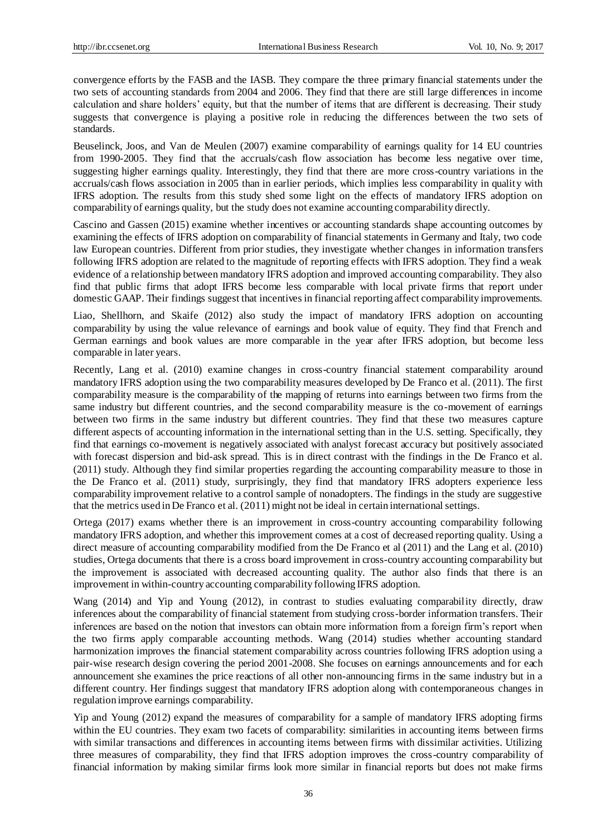convergence efforts by the FASB and the IASB. They compare the three primary financial statements under the two sets of accounting standards from 2004 and 2006. They find that there are still large differences in income calculation and share holders' equity, but that the number of items that are different is decreasing. Their study suggests that convergence is playing a positive role in reducing the differences between the two sets of standards.

Beuselinck, Joos, and Van de Meulen (2007) examine comparability of earnings quality for 14 EU countries from 1990-2005. They find that the accruals/cash flow association has become less negative over time, suggesting higher earnings quality. Interestingly, they find that there are more cross-country variations in the accruals/cash flows association in 2005 than in earlier periods, which implies less comparability in quality with IFRS adoption. The results from this study shed some light on the effects of mandatory IFRS adoption on comparability of earnings quality, but the study does not examine accounting comparability directly.

Cascino and Gassen (2015) examine whether incentives or accounting standards shape accounting outcomes by examining the effects of IFRS adoption on comparability of financial statements in Germany and Italy, two code law European countries. Different from prior studies, they investigate whether changes in information transfers following IFRS adoption are related to the magnitude of reporting effects with IFRS adoption. They find a weak evidence of a relationship between mandatory IFRS adoption and improved accounting comparability. They also find that public firms that adopt IFRS become less comparable with local private firms that report under domestic GAAP. Their findings suggest that incentives in financial reporting affect comparability improvements.

Liao, Shellhorn, and Skaife (2012) also study the impact of mandatory IFRS adoption on accounting comparability by using the value relevance of earnings and book value of equity. They find that French and German earnings and book values are more comparable in the year after IFRS adoption, but become less comparable in later years.

Recently, Lang et al. (2010) examine changes in cross-country financial statement comparability around mandatory IFRS adoption using the two comparability measures developed by De Franco et al. (2011). The first comparability measure is the comparability of the mapping of returns into earnings between two firms from the same industry but different countries, and the second comparability measure is the co-movement of earnings between two firms in the same industry but different countries. They find that these two measures capture different aspects of accounting information in the international setting than in the U.S. setting. Specifically, they find that earnings co-movement is negatively associated with analyst forecast accuracy but positively associated with forecast dispersion and bid-ask spread. This is in direct contrast with the findings in the De Franco et al. (2011) study. Although they find similar properties regarding the accounting comparability measure to those in the De Franco et al. (2011) study, surprisingly, they find that mandatory IFRS adopters experience less comparability improvement relative to a control sample of nonadopters. The findings in the study are suggestive that the metrics used in De Franco et al. (2011) might not be ideal in certain international settings.

Ortega (2017) exams whether there is an improvement in cross-country accounting comparability following mandatory IFRS adoption, and whether this improvement comes at a cost of decreased reporting quality. Using a direct measure of accounting comparability modified from the De Franco et al (2011) and the Lang et al. (2010) studies, Ortega documents that there is a cross board improvement in cross-country accounting comparability but the improvement is associated with decreased accounting quality. The author also finds that there is an improvement in within-country accounting comparability following IFRS adoption.

Wang (2014) and Yip and Young (2012), in contrast to studies evaluating comparability directly, draw inferences about the comparability of financial statement from studying cross-border information transfers. Their inferences are based on the notion that investors can obtain more information from a foreign firm's report when the two firms apply comparable accounting methods. Wang (2014) studies whether accounting standard harmonization improves the financial statement comparability across countries following IFRS adoption using a pair-wise research design covering the period 2001-2008. She focuses on earnings announcements and for each announcement she examines the price reactions of all other non-announcing firms in the same industry but in a different country. Her findings suggest that mandatory IFRS adoption along with contemporaneous changes in regulation improve earnings comparability.

Yip and Young (2012) expand the measures of comparability for a sample of mandatory IFRS adopting firms within the EU countries. They exam two facets of comparability: similarities in accounting items between firms with similar transactions and differences in accounting items between firms with dissimilar activities. Utilizing three measures of comparability, they find that IFRS adoption improves the cross-country comparability of financial information by making similar firms look more similar in financial reports but does not make firms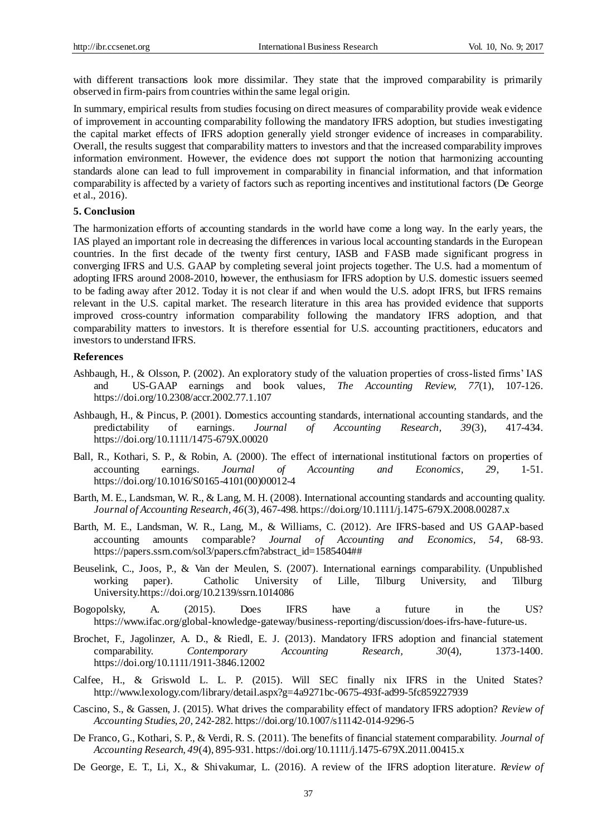with different transactions look more dissimilar. They state that the improved comparability is primarily observed in firm-pairs from countries within the same legal origin.

In summary, empirical results from studies focusing on direct measures of comparability provide weak evidence of improvement in accounting comparability following the mandatory IFRS adoption, but studies investigating the capital market effects of IFRS adoption generally yield stronger evidence of increases in comparability. Overall, the results suggest that comparability matters to investors and that the increased comparability improves information environment. However, the evidence does not support the notion that harmonizing accounting standards alone can lead to full improvement in comparability in financial information, and that information comparability is affected by a variety of factors such as reporting incentives and institutional factors (De George et al., 2016).

#### **5. Conclusion**

The harmonization efforts of accounting standards in the world have come a long way. In the early years, the IAS played an important role in decreasing the differences in various local accounting standards in the European countries. In the first decade of the twenty first century, IASB and FASB made significant progress in converging IFRS and U.S. GAAP by completing several joint projects together. The U.S. had a momentum of adopting IFRS around 2008-2010, however, the enthusiasm for IFRS adoption by U.S. domestic issuers seemed to be fading away after 2012. Today it is not clear if and when would the U.S. adopt IFRS, but IFRS remains relevant in the U.S. capital market. The research literature in this area has provided evidence that supports improved cross-country information comparability following the mandatory IFRS adoption, and that comparability matters to investors. It is therefore essential for U.S. accounting practitioners, educators and investors to understand IFRS.

#### **References**

- Ashbaugh, H., & Olsson, P. (2002). An exploratory study of the valuation properties of cross-listed firms' IAS and US-GAAP earnings and book values, *The Accounting Review, 77*(1), 107-126. <https://doi.org/10.2308/accr.2002.77.1.107>
- Ashbaugh, H., & Pincus, P. (2001). Domestics accounting standards, international accounting standards, and the predictability of earnings. *Journal of Accounting Research, 39*(3), 417-434. <https://doi.org/10.1111/1475-679X.00020>
- Ball, R., Kothari, S. P., & Robin, A. (2000). The effect of international institutional factors on properties of accounting earnings. *Journal of Accounting and Economics, 29*, 1-51. [https://doi.org/10.1016/S0165-4101\(00\)00012-4](https://doi.org/10.1016/S0165-4101(00)00012-4)
- Barth, M. E., Landsman, W. R., & Lang, M. H. (2008). International accounting standards and accounting quality. *Journal of Accounting Research, 46*(3), 467-498[. https://doi.org/10.1111/j.1475-679X.2008.00287.x](https://doi.org/10.1111/j.1475-679X.2008.00287.x)
- Barth, M. E., Landsman, W. R., Lang, M., & Williams, C. (2012). Are IFRS-based and US GAAP-based accounting amounts comparable? *Journal of Accounting and Economics, 54*, 68-93. https://papers.ssrn.com/sol3/papers.cfm?abstract\_id=1585404##
- Beuselink, C., Joos, P., & Van der Meulen, S. (2007). International earnings comparability. (Unpublished working paper). Catholic University of Lille, Tilburg University, and Tilburg Universit[y.https://doi.org/10.2139/ssrn.1014086](https://doi.org/10.2139/ssrn.1014086)
- Bogopolsky, A. (2015). Does IFRS have a future in the US? [https://www.ifac.org/global-knowledge-gateway/business-reporting/discussion/does-ifrs-have-future-us.](https://www.ifac.org/global-knowledge-gateway/business-reporting/discussion/does-ifrs-have-future-us)
- Brochet, F., Jagolinzer, A. D., & Riedl, E. J. (2013). Mandatory IFRS adoption and financial statement comparability. *Contemporary Accounting Research, 30*(4), 1373-1400. <https://doi.org/10.1111/1911-3846.12002>
- Calfee, H., & Griswold L. L. P. (2015). Will SEC finally nix IFRS in the United States? http://www.lexology.com/library/detail.aspx?g=4a9271bc-0675-493f-ad99-5fc859227939
- Cascino, S., & Gassen, J. (2015). What drives the comparability effect of mandatory IFRS adoption? *Review of Accounting Studies, 20,* 242-282[. https://doi.org/10.1007/s11142-014-9296-5](https://doi.org/10.1007/s11142-014-9296-5)
- De Franco, G., Kothari, S. P., & Verdi, R. S. (2011). The benefits of financial statement comparability. *Journal of Accounting Research, 49*(4), 895-931[. https://doi.org/10.1111/j.1475-679X.2011.00415.x](https://doi.org/10.1111/j.1475-679X.2011.00415.x)
- De George, E. T., Li, X., & Shivakumar, L. (2016). A review of the IFRS adoption literature. *Review of*